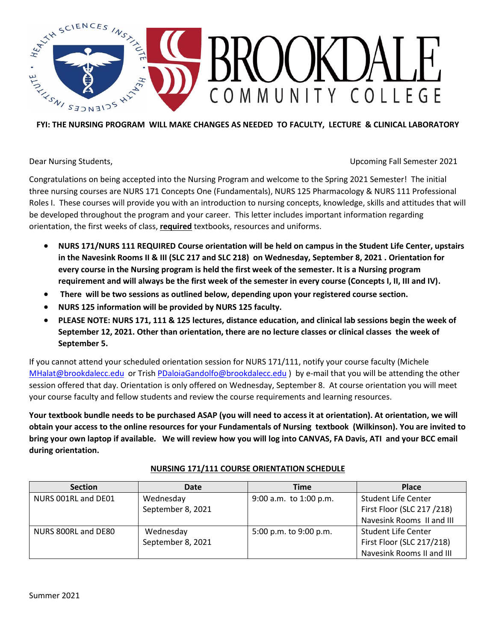

Dear Nursing Students, Upcoming Fall Semester 2021

Congratulations on being accepted into the Nursing Program and welcome to the Spring 2021 Semester! The initial three nursing courses are NURS 171 Concepts One (Fundamentals), NURS 125 Pharmacology & NURS 111 Professional Roles I. These courses will provide you with an introduction to nursing concepts, knowledge, skills and attitudes that will be developed throughout the program and your career. This letter includes important information regarding orientation, the first weeks of class, **required** textbooks, resources and uniforms.

- **NURS 171/NURS 111 REQUIRED Course orientation will be held on campus in the Student Life Center, upstairs in the Navesink Rooms II & III (SLC 217 and SLC 218) on Wednesday, September 8, 2021 . Orientation for every course in the Nursing program is held the first week of the semester. It is a Nursing program requirement and will always be the first week of the semester in every course (Concepts I, II, III and IV).**
- **There will be two sessions as outlined below, depending upon your registered course section.**
- **NURS 125 information will be provided by NURS 125 faculty.**
- **PLEASE NOTE: NURS 171, 111 & 125 lectures, distance education, and clinical lab sessions begin the week of September 12, 2021. Other than orientation, there are no lecture classes or clinical classes the week of September 5.**

If you cannot attend your scheduled orientation session for NURS 171/111, notify your course faculty (Michele [MHalat@brookdalecc.edu](mailto:MHalat@brookdalecc.edu) or Trish [PDaloiaGandolfo@brookdalecc.edu](mailto:PDaloiaGandolfo@brookdalecc.edu) ) by e-mail that you will be attending the other session offered that day. Orientation is only offered on Wednesday, September 8. At course orientation you will meet your course faculty and fellow students and review the course requirements and learning resources.

**Your textbook bundle needs to be purchased ASAP (you will need to access it at orientation). At orientation, we will obtain your access to the online resources for your Fundamentals of Nursing textbook (Wilkinson). You are invited to bring your own laptop if available. We will review how you will log into CANVAS, FA Davis, ATI and your BCC email during orientation.**

| <b>Section</b>      | Date              | Time                   | <b>Place</b>               |
|---------------------|-------------------|------------------------|----------------------------|
| NURS 001RL and DE01 | Wednesday         | 9:00 a.m. to 1:00 p.m. | <b>Student Life Center</b> |
|                     | September 8, 2021 |                        | First Floor (SLC 217 /218) |
|                     |                   |                        | Navesink Rooms II and III  |
| NURS 800RL and DE80 | Wednesday         | 5:00 p.m. to 9:00 p.m. | <b>Student Life Center</b> |
|                     | September 8, 2021 |                        | First Floor (SLC 217/218)  |
|                     |                   |                        | Navesink Rooms II and III  |

#### **NURSING 171/111 COURSE ORIENTATION SCHEDULE**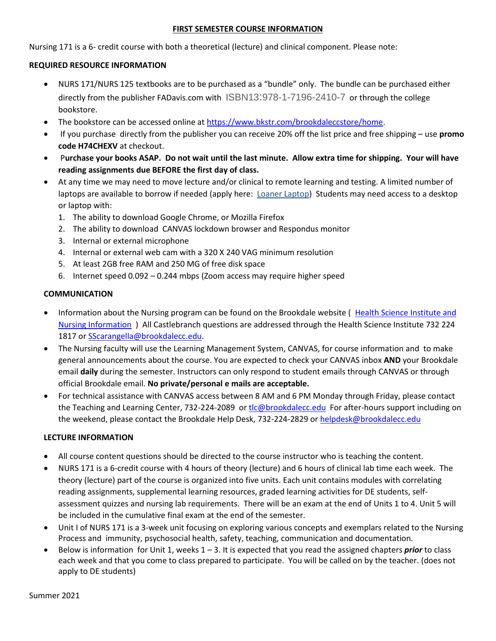#### **FIRST SEMESTER COURSE INFORMATION**

Nursing 171 is a 6- credit course with both a theoretical (lecture) and clinical component. Please note:

#### **REQUIRED RESOURCE INFORMATION**

- NURS 171/NURS 125 textbooks are to be purchased as a "bundle" only. The bundle can be purchased either directly from the publisher FADavis.com with ISBN13:978-1-7196-2410-7 or through the college bookstore.
- The bookstore can be accessed online at [https://www.bkstr.com/brookdaleccstore/home.](https://www.bkstr.com/brookdaleccstore/home)
- If you purchase directly from the publisher you can receive 20% off the list price and free shipping use **promo code H74CHEXV** at checkout.
- P**urchase your books ASAP. Do not wait until the last minute. Allow extra time for shipping. Your will have reading assignments due BEFORE the first day of class.**
- At any time we may need to move lecture and/or clinical to remote learning and testing. A limited number of laptops are available to borrow if needed (apply here: [Loaner Laptop\)](https://nam12.safelinks.protection.outlook.com/?url=https%3A%2F%2Fforms.office.com%2FPages%2FResponsePage.aspx%3Fid%3DMdE5f0eySUiS9rlp2uSSB8GYy6nOxrxFlVWPI91ht9ZUOElCVExTTkpVN1dXSkNPRlRRSUlHNUlUMCQlQCN0PWcu%26fswReload%3D1%26fswNavStart%3D1624372393987&data=04%7C01%7Cmhalat%40brookdalecc.edu%7C0fb4d8cb1a7c40c7901a08d9358abc7a%7C7f39d131b247484992f6b969dae49207%7C1%7C0%7C637599692246926388%7CUnknown%7CTWFpbGZsb3d8eyJWIjoiMC4wLjAwMDAiLCJQIjoiV2luMzIiLCJBTiI6Ik1haWwiLCJXVCI6Mn0%3D%7C1000&sdata=58F5TcTlryPkGbczrEtms8bxaurxLk15OUOgR51u%2FSE%3D&reserved=0) Students may need access to a desktop or laptop with:
	- 1. The ability to download Google Chrome, or Mozilla Firefox
	- 2. The ability to download CANVAS lockdown browser and Respondus monitor
	- 3. Internal or external microphone
	- 4. Internal or external web cam with a 320 X 240 VAG minimum resolution
	- 5. At least 2GB free RAM and 250 MG of free disk space
	- 6. Internet speed 0.092 0.244 mbps (Zoom access may require higher speed

#### **COMMUNICATION**

- Information about the Nursing program can be found on the Brookdale website ( [Health Science Institute and](https://www.brookdalecc.edu/health-sciences-institute/nursing/) [Nursing Information](https://www.brookdalecc.edu/health-sciences-institute/nursing/) ) All Castlebranch questions are addressed through the Health Science Institute 732 224 1817 or [SScarangella@brookdalecc.edu.](mailto:SScarangella@brookdalecc.edu)
- The Nursing faculty will use the Learning Management System, CANVAS, for course information and to make general announcements about the course. You are expected to check your CANVAS inbox **AND** your Brookdale email **daily** during the semester. Instructors can only respond to student emails through CANVAS or through official Brookdale email. **No private/personal e mails are acceptable.**
- For technical assistance with CANVAS access between 8 AM and 6 PM Monday through Friday, please contact the Teaching and Learning Center, 732-224-2089 or [tlc@brookdalecc.edu](mailto:tlc@brookdalecc.edu) For after-hours support including on the weekend, please contact the Brookdale Help Desk, 732-224-2829 or [helpdesk@brookdalecc.edu](mailto:helpdesk@brookdalecc.edu)

#### **LECTURE INFORMATION**

- All course content questions should be directed to the course instructor who is teaching the content.
- NURS 171 is a 6-credit course with 4 hours of theory (lecture) and 6 hours of clinical lab time each week. The theory (lecture) part of the course is organized into five units. Each unit contains modules with correlating reading assignments, supplemental learning resources, graded learning activities for DE students, selfassessment quizzes and nursing lab requirements. There will be an exam at the end of Units 1 to 4. Unit 5 will be included in the cumulative final exam at the end of the semester.
- Unit I of NURS 171 is a 3-week unit focusing on exploring various concepts and exemplars related to the Nursing Process and immunity, psychosocial health, safety, teaching, communication and documentation.
- Below is information for Unit 1, weeks 1 3. It is expected that you read the assigned chapters *prior* to class each week and that you come to class prepared to participate. You will be called on by the teacher. (does not apply to DE students)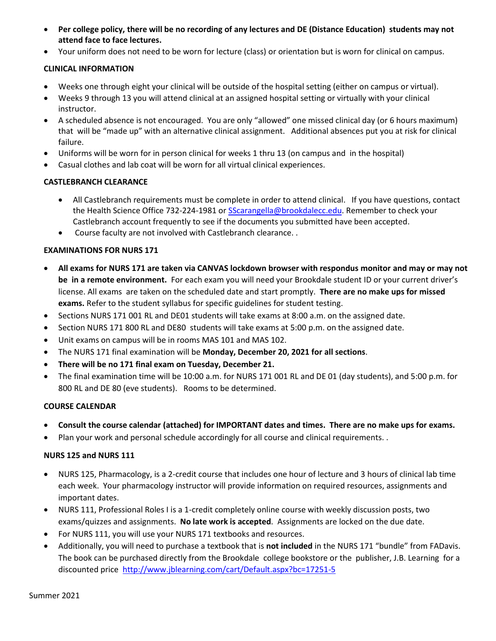- **Per college policy, there will be no recording of any lectures and DE (Distance Education) students may not attend face to face lectures.**
- Your uniform does not need to be worn for lecture (class) or orientation but is worn for clinical on campus.

#### **CLINICAL INFORMATION**

- Weeks one through eight your clinical will be outside of the hospital setting (either on campus or virtual).
- Weeks 9 through 13 you will attend clinical at an assigned hospital setting or virtually with your clinical instructor.
- A scheduled absence is not encouraged. You are only "allowed" one missed clinical day (or 6 hours maximum) that will be "made up" with an alternative clinical assignment. Additional absences put you at risk for clinical failure.
- Uniforms will be worn for in person clinical for weeks 1 thru 13 (on campus and in the hospital)
- Casual clothes and lab coat will be worn for all virtual clinical experiences.

#### **CASTLEBRANCH CLEARANCE**

- All Castlebranch requirements must be complete in order to attend clinical. If you have questions, contact the Health Science Office 732-224-1981 or [SScarangella@brookdalecc.edu.](mailto:SScarangella@brookdalecc.edu) Remember to check your Castlebranch account frequently to see if the documents you submitted have been accepted.
- Course faculty are not involved with Castlebranch clearance. .

#### **EXAMINATIONS FOR NURS 171**

- **All exams for NURS 171 are taken via CANVAS lockdown browser with respondus monitor and may or may not be in a remote environment.** For each exam you will need your Brookdale student ID or your current driver's license. All exams are taken on the scheduled date and start promptly. **There are no make ups for missed exams.** Refer to the student syllabus for specific guidelines for student testing.
- Sections NURS 171 001 RL and DE01 students will take exams at 8:00 a.m. on the assigned date.
- Section NURS 171 800 RL and DE80 students will take exams at 5:00 p.m. on the assigned date.
- Unit exams on campus will be in rooms MAS 101 and MAS 102.
- The NURS 171 final examination will be **Monday, December 20, 2021 for all sections**.
- **There will be no 171 final exam on Tuesday, December 21.**
- The final examination time will be 10:00 a.m. for NURS 171 001 RL and DE 01 (day students), and 5:00 p.m. for 800 RL and DE 80 (eve students). Rooms to be determined.

#### **COURSE CALENDAR**

- **Consult the course calendar (attached) for IMPORTANT dates and times. There are no make ups for exams.**
- Plan your work and personal schedule accordingly for all course and clinical requirements. .

#### **NURS 125 and NURS 111**

- NURS 125, Pharmacology, is a 2-credit course that includes one hour of lecture and 3 hours of clinical lab time each week. Your pharmacology instructor will provide information on required resources, assignments and important dates.
- NURS 111, Professional Roles I is a 1-credit completely online course with weekly discussion posts, two exams/quizzes and assignments. **No late work is accepted**. Assignments are locked on the due date.
- For NURS 111, you will use your NURS 171 textbooks and resources.
- Additionally, you will need to purchase a textbook that is **not included** in the NURS 171 "bundle" from FADavis. The book can be purchased directly from the Brookdale college bookstore or the publisher, J.B. Learning for a discounted price <http://www.jblearning.com/cart/Default.aspx?bc=17251-5>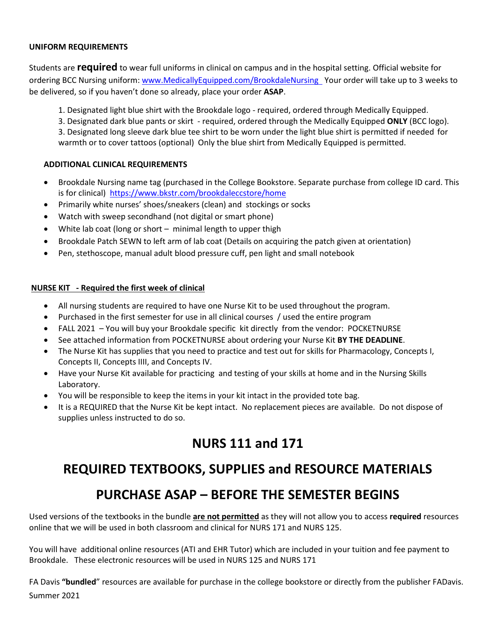#### **UNIFORM REQUIREMENTS**

Students are **required** to wear full uniforms in clinical on campus and in the hospital setting. Official website for ordering BCC Nursing uniform: [www.MedicallyEquipped.com/BrookdaleNursing](http://www.medicallyequipped.com/BrookdaleNursing) Your order will take up to 3 weeks to be delivered, so if you haven't done so already, place your order **ASAP**.

1. Designated light blue shirt with the Brookdale logo - required, ordered through Medically Equipped.

3. Designated dark blue pants or skirt - required, ordered through the Medically Equipped **ONLY** (BCC logo). 3. Designated long sleeve dark blue tee shirt to be worn under the light blue shirt is permitted if needed for warmth or to cover tattoos (optional) Only the blue shirt from Medically Equipped is permitted.

#### **ADDITIONAL CLINICAL REQUIREMENTS**

- Brookdale Nursing name tag (purchased in the College Bookstore. Separate purchase from college ID card. This is for clinical)<https://www.bkstr.com/brookdaleccstore/home>
- Primarily white nurses' shoes/sneakers (clean) and stockings or socks
- Watch with sweep secondhand (not digital or smart phone)
- White lab coat (long or short minimal length to upper thigh
- Brookdale Patch SEWN to left arm of lab coat (Details on acquiring the patch given at orientation)
- Pen, stethoscope, manual adult blood pressure cuff, pen light and small notebook

#### **NURSE KIT - Required the first week of clinical**

- All nursing students are required to have one Nurse Kit to be used throughout the program.
- Purchased in the first semester for use in all clinical courses / used the entire program
- FALL 2021 You will buy your Brookdale specific kit directly from the vendor: POCKETNURSE
- See attached information from POCKETNURSE about ordering your Nurse Kit **BY THE DEADLINE**.
- The Nurse Kit has supplies that you need to practice and test out for skills for Pharmacology, Concepts I, Concepts II, Concepts IIII, and Concepts IV.
- Have your Nurse Kit available for practicing and testing of your skills at home and in the Nursing Skills Laboratory.
- You will be responsible to keep the items in your kit intact in the provided tote bag.
- It is a REQUIRED that the Nurse Kit be kept intact. No replacement pieces are available. Do not dispose of supplies unless instructed to do so.

# **NURS 111 and 171**

# **REQUIRED TEXTBOOKS, SUPPLIES and RESOURCE MATERIALS**

# **PURCHASE ASAP – BEFORE THE SEMESTER BEGINS**

Used versions of the textbooks in the bundle **are not permitted** as they will not allow you to access **required** resources online that we will be used in both classroom and clinical for NURS 171 and NURS 125.

You will have additional online resources (ATI and EHR Tutor) which are included in your tuition and fee payment to Brookdale. These electronic resources will be used in NURS 125 and NURS 171

Summer 2021 FA Davis **"bundled**" resources are available for purchase in the college bookstore or directly from the publisher FADavis.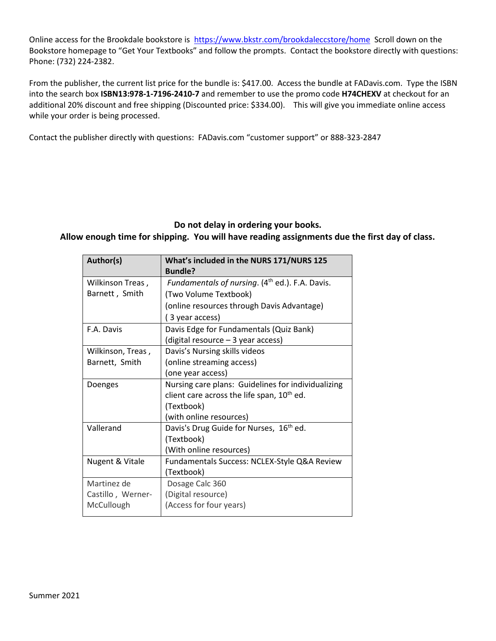Online access for the Brookdale bookstore is<https://www.bkstr.com/brookdaleccstore/home> Scroll down on the Bookstore homepage to "Get Your Textbooks" and follow the prompts. Contact the bookstore directly with questions: Phone: (732) 224-2382.

From the publisher, the current list price for the bundle is: \$417.00. Access the bundle at FADavis.com. Type the ISBN into the search box **ISBN13:978-1-7196-2410-7** and remember to use the promo code **H74CHEXV** at checkout for an additional 20% discount and free shipping (Discounted price: \$334.00). This will give you immediate online access while your order is being processed.

Contact the publisher directly with questions: FADavis.com "customer support" or 888-323-2847

# **Do not delay in ordering your books.**

**Allow enough time for shipping. You will have reading assignments due the first day of class.**

| Author(s)         | What's included in the NURS 171/NURS 125<br><b>Bundle?</b> |
|-------------------|------------------------------------------------------------|
| Wilkinson Treas,  | <i>Fundamentals of nursing.</i> $(4th ed.)$ . F.A. Davis.  |
| Barnett, Smith    | (Two Volume Textbook)                                      |
|                   | (online resources through Davis Advantage)                 |
|                   | (3 year access)                                            |
| F.A. Davis        | Davis Edge for Fundamentals (Quiz Bank)                    |
|                   | (digital resource - 3 year access)                         |
| Wilkinson, Treas, | Davis's Nursing skills videos                              |
| Barnett, Smith    | (online streaming access)                                  |
|                   | (one year access)                                          |
| Doenges           | Nursing care plans: Guidelines for individualizing         |
|                   | client care across the life span, 10 <sup>th</sup> ed.     |
|                   | (Textbook)                                                 |
|                   | (with online resources)                                    |
| Vallerand         | Davis's Drug Guide for Nurses, 16 <sup>th</sup> ed.        |
|                   | (Textbook)                                                 |
|                   | (With online resources)                                    |
| Nugent & Vitale   | Fundamentals Success: NCLEX-Style Q&A Review               |
|                   | (Textbook)                                                 |
| Martinez de       | Dosage Calc 360                                            |
| Castillo, Werner- | (Digital resource)                                         |
| McCullough        | (Access for four years)                                    |
|                   |                                                            |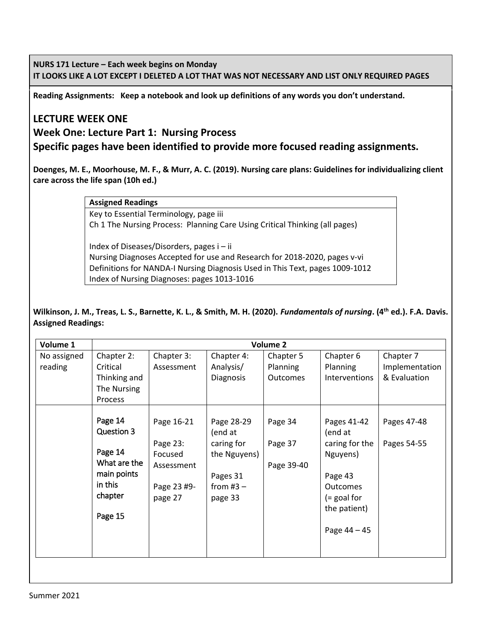**NURS 171 Lecture – Each week begins on Monday IT LOOKS LIKE A LOT EXCEPT I DELETED A LOT THAT WAS NOT NECESSARY AND LIST ONLY REQUIRED PAGES**

**Reading Assignments: Keep a notebook and look up definitions of any words you don't understand.** 

# **LECTURE WEEK ONE**

**Week One: Lecture Part 1: Nursing Process**

**Specific pages have been identified to provide more focused reading assignments.**

**Doenges, M. E., Moorhouse, M. F., & Murr, A. C. (2019). Nursing care plans: Guidelines for individualizing client care across the life span (10h ed.)**

#### **Assigned Readings**

Key to Essential Terminology, page iii Ch 1 The Nursing Process: Planning Care Using Critical Thinking (all pages)

Index of Diseases/Disorders, pages i – ii Nursing Diagnoses Accepted for use and Research for 2018-2020, pages v-vi Definitions for NANDA-I Nursing Diagnosis Used in This Text, pages 1009-1012 Index of Nursing Diagnoses: pages 1013-1016

#### **Wilkinson, J. M., Treas, L. S., Barnette, K. L., & Smith, M. H. (2020).** *Fundamentals of nursing***. (4th ed.). F.A. Davis.** **Assigned Readings:**

| Volume 1               | <b>Volume 2</b>                                                                                  |                                                                           |                                                                                           |                                   |                                                                                                                                       |                                             |
|------------------------|--------------------------------------------------------------------------------------------------|---------------------------------------------------------------------------|-------------------------------------------------------------------------------------------|-----------------------------------|---------------------------------------------------------------------------------------------------------------------------------------|---------------------------------------------|
| No assigned<br>reading | Chapter 2:<br>Critical<br>Thinking and<br>The Nursing<br><b>Process</b>                          | Chapter 3:<br>Assessment                                                  | Chapter 4:<br>Analysis/<br>Diagnosis                                                      | Chapter 5<br>Planning<br>Outcomes | Chapter 6<br><b>Planning</b><br>Interventions                                                                                         | Chapter 7<br>Implementation<br>& Evaluation |
|                        | Page 14<br>Question 3<br>Page 14<br>What are the<br>main points<br>in this<br>chapter<br>Page 15 | Page 16-21<br>Page 23:<br>Focused<br>Assessment<br>Page 23 #9-<br>page 27 | Page 28-29<br>(end at<br>caring for<br>the Nguyens)<br>Pages 31<br>from $#3 -$<br>page 33 | Page 34<br>Page 37<br>Page 39-40  | Pages 41-42<br>(end at<br>caring for the<br>Nguyens)<br>Page 43<br><b>Outcomes</b><br>$(=$ goal for<br>the patient)<br>Page $44 - 45$ | Pages 47-48<br>Pages 54-55                  |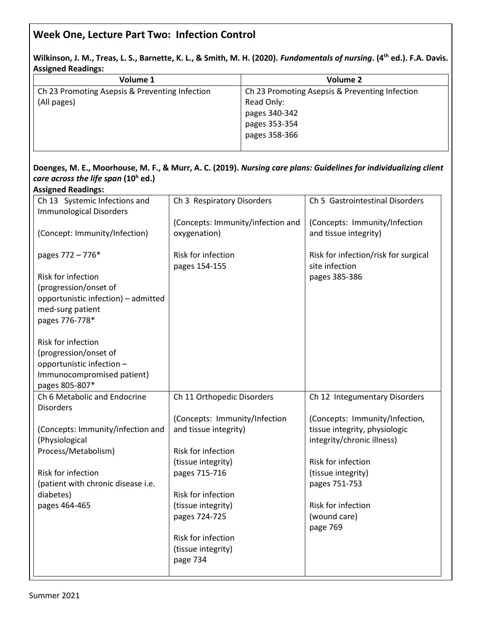# **Week One, Lecture Part Two: Infection Control**

**Wilkinson, J. M., Treas, L. S., Barnette, K. L., & Smith, M. H. (2020).** *Fundamentals of nursing***. (4th ed.). F.A. Davis. Assigned Readings:**

| Volume 1                                       | Volume 2                                       |
|------------------------------------------------|------------------------------------------------|
| Ch 23 Promoting Asepsis & Preventing Infection | Ch 23 Promoting Asepsis & Preventing Infection |
| (All pages)                                    | Read Only:                                     |
|                                                | pages 340-342                                  |
|                                                | pages 353-354                                  |
|                                                | pages 358-366                                  |
|                                                |                                                |

#### **Doenges, M. E., Moorhouse, M. F., & Murr, A. C. (2019).** *Nursing care plans: Guidelines for individualizing client care across the life span* **(10<sup>h</sup> ed.) Assigned Readings:**

| 19918119811981118911<br>Ch 13 Systemic Infections and    | Ch 3 Respiratory Disorders        | Ch 5 Gastrointestinal Disorders      |
|----------------------------------------------------------|-----------------------------------|--------------------------------------|
| <b>Immunological Disorders</b>                           | (Concepts: Immunity/infection and | (Concepts: Immunity/Infection        |
| (Concept: Immunity/Infection)                            | oxygenation)                      | and tissue integrity)                |
| pages 772 - 776*                                         | Risk for infection                | Risk for infection/risk for surgical |
| Risk for infection                                       | pages 154-155                     | site infection<br>pages 385-386      |
| (progression/onset of                                    |                                   |                                      |
| opportunistic infection) - admitted                      |                                   |                                      |
| med-surg patient                                         |                                   |                                      |
| pages 776-778*                                           |                                   |                                      |
| Risk for infection                                       |                                   |                                      |
| (progression/onset of                                    |                                   |                                      |
| opportunistic infection -                                |                                   |                                      |
| Immunocompromised patient)                               |                                   |                                      |
| pages 805-807*                                           |                                   |                                      |
| Ch 6 Metabolic and Endocrine<br><b>Disorders</b>         | Ch 11 Orthopedic Disorders        | Ch 12 Integumentary Disorders        |
|                                                          | (Concepts: Immunity/Infection     | (Concepts: Immunity/Infection,       |
| (Concepts: Immunity/infection and                        | and tissue integrity)             | tissue integrity, physiologic        |
| (Physiological                                           |                                   | integrity/chronic illness)           |
| Process/Metabolism)                                      | Risk for infection                |                                      |
|                                                          | (tissue integrity)                | Risk for infection                   |
| Risk for infection<br>(patient with chronic disease i.e. | pages 715-716                     | (tissue integrity)<br>pages 751-753  |
| diabetes)                                                | Risk for infection                |                                      |
| pages 464-465                                            | (tissue integrity)                | Risk for infection                   |
|                                                          | pages 724-725                     | (wound care)                         |
|                                                          |                                   | page 769                             |
|                                                          | Risk for infection                |                                      |
|                                                          | (tissue integrity)                |                                      |
|                                                          | page 734                          |                                      |
|                                                          |                                   |                                      |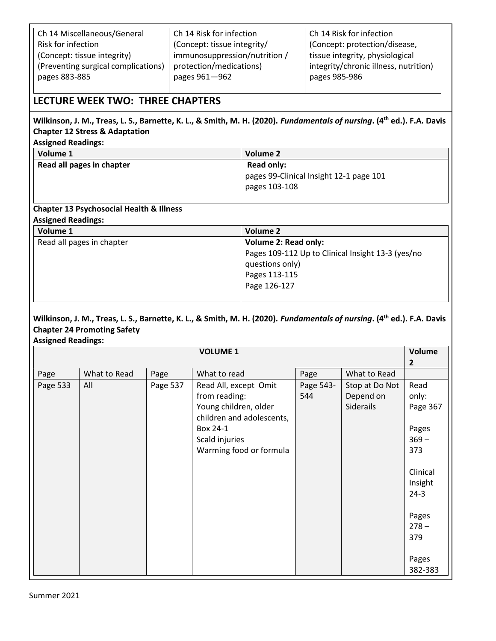| Ch 14 Miscellaneous/General         | Ch 14 Risk for infection      | Ch 14 Risk for infection              |
|-------------------------------------|-------------------------------|---------------------------------------|
| Risk for infection                  | (Concept: tissue integrity/   | (Concept: protection/disease,         |
| (Concept: tissue integrity)         | immunosuppression/nutrition / | tissue integrity, physiological       |
| (Preventing surgical complications) | protection/medications)       | integrity/chronic illness, nutrition) |
| pages 883-885                       | pages 961-962                 | pages 985-986                         |
|                                     |                               |                                       |

### **LECTURE WEEK TWO: THREE CHAPTERS**

# **Wilkinson, J. M., Treas, L. S., Barnette, K. L., & Smith, M. H. (2020).** *Fundamentals of nursing***. (4th ed.). F.A. Davis** **Chapter 12 Stress & Adaptation**

|  | <b>Assigned Readings:</b> |
|--|---------------------------|
|--|---------------------------|

| Volume 1                  | <b>Volume 2</b>                         |
|---------------------------|-----------------------------------------|
| Read all pages in chapter | Read only:                              |
|                           | pages 99-Clinical Insight 12-1 page 101 |
|                           | pages 103-108                           |
|                           |                                         |

#### **Chapter 13 Psychosocial Health & Illness Assigned Readings:**

| ASSIKTICA NCAUILIKS.      |                                                   |  |  |
|---------------------------|---------------------------------------------------|--|--|
| Volume 1                  | Volume 2                                          |  |  |
| Read all pages in chapter | <b>Volume 2: Read only:</b>                       |  |  |
|                           | Pages 109-112 Up to Clinical Insight 13-3 (yes/no |  |  |
|                           | questions only)                                   |  |  |
|                           | Pages 113-115                                     |  |  |
|                           | Page 126-127                                      |  |  |
|                           |                                                   |  |  |

#### **Wilkinson, J. M., Treas, L. S., Barnette, K. L., & Smith, M. H. (2020).** *Fundamentals of nursing***. (4th ed.). F.A. Davis Chapter 24 Promoting Safety Assigned Readings:**

|          |              |          | <b>VOLUME 1</b>                                                                                                                                       |                  |                                          | Volume<br>$\overline{2}$                             |
|----------|--------------|----------|-------------------------------------------------------------------------------------------------------------------------------------------------------|------------------|------------------------------------------|------------------------------------------------------|
| Page     | What to Read | Page     | What to read                                                                                                                                          | Page             | What to Read                             |                                                      |
| Page 533 | All          | Page 537 | Read All, except Omit<br>from reading:<br>Young children, older<br>children and adolescents,<br>Box 24-1<br>Scald injuries<br>Warming food or formula | Page 543-<br>544 | Stop at Do Not<br>Depend on<br>Siderails | Read<br>only:<br>Page 367<br>Pages<br>$369 -$<br>373 |
|          |              |          |                                                                                                                                                       |                  |                                          | Clinical<br>Insight<br>$24-3$                        |
|          |              |          |                                                                                                                                                       |                  |                                          | Pages<br>$278 -$<br>379                              |
|          |              |          |                                                                                                                                                       |                  |                                          | Pages<br>382-383                                     |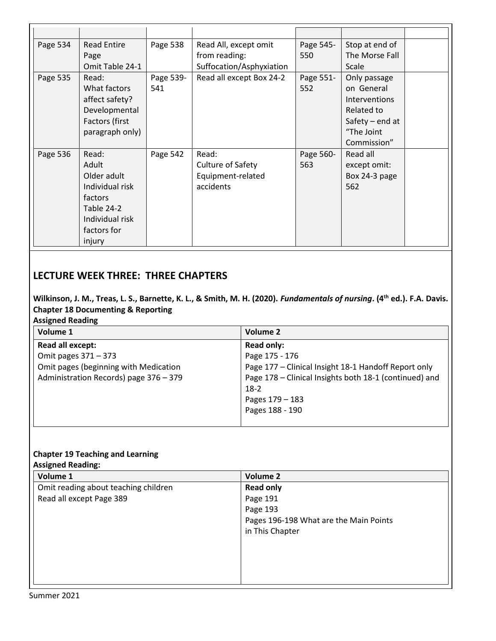| Page 534 | <b>Read Entire</b><br>Page<br>Omit Table 24-1                                                                         | Page 538         | Read All, except omit<br>from reading:<br>Suffocation/Asphyxiation | Page 545-<br>550 | Stop at end of<br>The Morse Fall<br>Scale                                                                          |  |
|----------|-----------------------------------------------------------------------------------------------------------------------|------------------|--------------------------------------------------------------------|------------------|--------------------------------------------------------------------------------------------------------------------|--|
| Page 535 | Read:<br>What factors<br>affect safety?<br>Developmental<br>Factors (first<br>paragraph only)                         | Page 539-<br>541 | Read all except Box 24-2                                           | Page 551-<br>552 | Only passage<br>on General<br><b>Interventions</b><br>Related to<br>Safety $-$ end at<br>"The Joint<br>Commission" |  |
| Page 536 | Read:<br>Adult<br>Older adult<br>Individual risk<br>factors<br>Table 24-2<br>Individual risk<br>factors for<br>injury | Page 542         | Read:<br>Culture of Safety<br>Equipment-related<br>accidents       | Page 560-<br>563 | Read all<br>except omit:<br>Box 24-3 page<br>562                                                                   |  |

# **LECTURE WEEK THREE: THREE CHAPTERS**

# **Wilkinson, J. M., Treas, L. S., Barnette, K. L., & Smith, M. H. (2020).** *Fundamentals of nursing***. (4th ed.). F.A. Davis. Chapter 18 Documenting & Reporting**

#### **Assigned Reading**

| Volume 1                               | Volume 2                                               |
|----------------------------------------|--------------------------------------------------------|
| <b>Read all except:</b>                | <b>Read only:</b>                                      |
| Omit pages 371 - 373                   | Page 175 - 176                                         |
| Omit pages (beginning with Medication  | Page 177 - Clinical Insight 18-1 Handoff Report only   |
| Administration Records) page 376 - 379 | Page 178 - Clinical Insights both 18-1 (continued) and |
|                                        | $18-2$                                                 |
|                                        | Pages 179 - 183                                        |
|                                        | Pages 188 - 190                                        |
|                                        |                                                        |

## **Chapter 19 Teaching and Learning**

### **Assigned Reading:**

| Volume 1                             | <b>Volume 2</b>                        |
|--------------------------------------|----------------------------------------|
| Omit reading about teaching children | <b>Read only</b>                       |
| Read all except Page 389             | Page 191                               |
|                                      | Page 193                               |
|                                      | Pages 196-198 What are the Main Points |
|                                      | in This Chapter                        |
|                                      |                                        |
|                                      |                                        |
|                                      |                                        |
|                                      |                                        |
|                                      |                                        |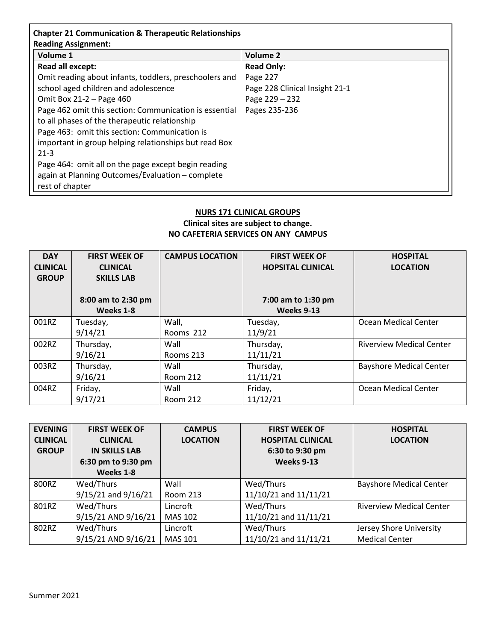| Volume 1                                               | <b>Volume 2</b>                |
|--------------------------------------------------------|--------------------------------|
| Read all except:                                       | <b>Read Only:</b>              |
| Omit reading about infants, toddlers, preschoolers and | Page 227                       |
| school aged children and adolescence                   | Page 228 Clinical Insight 21-1 |
| Omit Box 21-2 - Page 460                               | Page 229 - 232                 |
| Page 462 omit this section: Communication is essential | Pages 235-236                  |
| to all phases of the therapeutic relationship          |                                |
| Page 463: omit this section: Communication is          |                                |
| important in group helping relationships but read Box  |                                |

| $\ldots$ , $\ldots$ , $\ldots$ , $\ldots$ , $\ldots$ , $\ldots$ , $\ldots$ , $\ldots$ , $\ldots$ , $\ldots$ , $\ldots$ , $\ldots$ , $\ldots$ |
|----------------------------------------------------------------------------------------------------------------------------------------------|
| -21-3                                                                                                                                        |
| Page 464: omit all on the page except begin reading                                                                                          |
| again at Planning Outcomes/Evaluation - complete                                                                                             |
| rest of chapter                                                                                                                              |

### **NURS 171 CLINICAL GROUPS Clinical sites are subject to change. NO CAFETERIA SERVICES ON ANY CAMPUS**

| <b>DAY</b>      | <b>FIRST WEEK OF</b> | <b>CAMPUS LOCATION</b> | <b>FIRST WEEK OF</b>     | <b>HOSPITAL</b>                 |
|-----------------|----------------------|------------------------|--------------------------|---------------------------------|
| <b>CLINICAL</b> | <b>CLINICAL</b>      |                        | <b>HOPSITAL CLINICAL</b> | <b>LOCATION</b>                 |
| <b>GROUP</b>    | <b>SKILLS LAB</b>    |                        |                          |                                 |
|                 |                      |                        |                          |                                 |
|                 | 8:00 am to 2:30 pm   |                        | 7:00 am to 1:30 pm       |                                 |
|                 | Weeks 1-8            |                        | Weeks 9-13               |                                 |
| 001RZ           | Tuesday,             | Wall,                  | Tuesday,                 | Ocean Medical Center            |
|                 | 9/14/21              | Rooms 212              | 11/9/21                  |                                 |
| 002RZ           | Thursday,            | Wall                   | Thursday,                | <b>Riverview Medical Center</b> |
|                 | 9/16/21              | Rooms 213              | 11/11/21                 |                                 |
| 003RZ           | Thursday,            | Wall                   | Thursday,                | <b>Bayshore Medical Center</b>  |
|                 | 9/16/21              | Room 212               | 11/11/21                 |                                 |
| 004RZ           | Friday,              | Wall                   | Friday,                  | Ocean Medical Center            |
|                 | 9/17/21              | Room 212               | 11/12/21                 |                                 |

| <b>EVENING</b>  | <b>FIRST WEEK OF</b>    | <b>CAMPUS</b>   | <b>FIRST WEEK OF</b>     | <b>HOSPITAL</b>                 |
|-----------------|-------------------------|-----------------|--------------------------|---------------------------------|
| <b>CLINICAL</b> | <b>CLINICAL</b>         | <b>LOCATION</b> | <b>HOSPITAL CLINICAL</b> | <b>LOCATION</b>                 |
| <b>GROUP</b>    | <b>IN SKILLS LAB</b>    |                 | 6:30 to 9:30 pm          |                                 |
|                 | 6:30 pm to 9:30 pm      |                 | Weeks 9-13               |                                 |
|                 | Weeks 1-8               |                 |                          |                                 |
| 800RZ           | Wed/Thurs               | Wall            | Wed/Thurs                | <b>Bayshore Medical Center</b>  |
|                 | $9/15/21$ and $9/16/21$ | Room 213        | 11/10/21 and 11/11/21    |                                 |
| 801RZ           | Wed/Thurs               | Lincroft        | Wed/Thurs                | <b>Riverview Medical Center</b> |
|                 | 9/15/21 AND 9/16/21     | MAS 102         | 11/10/21 and 11/11/21    |                                 |
| 802RZ           | Wed/Thurs               | Lincroft        | Wed/Thurs                | Jersey Shore University         |
|                 | 9/15/21 AND 9/16/21     | <b>MAS 101</b>  | 11/10/21 and 11/11/21    | <b>Medical Center</b>           |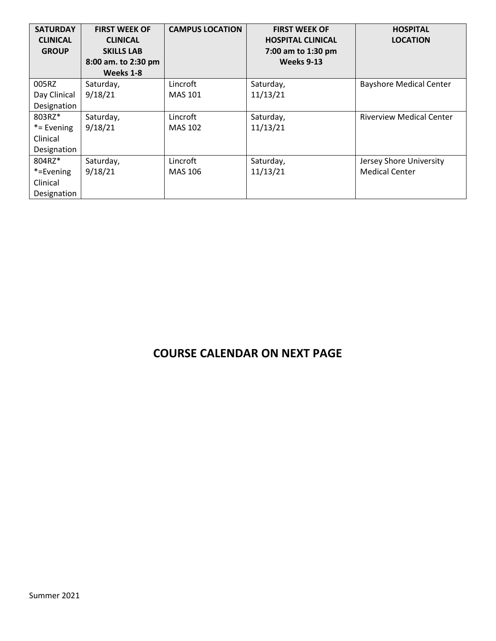| <b>SATURDAY</b><br><b>CLINICAL</b> | <b>FIRST WEEK OF</b><br><b>CLINICAL</b> | <b>CAMPUS LOCATION</b> | <b>FIRST WEEK OF</b><br><b>HOSPITAL CLINICAL</b> | <b>HOSPITAL</b><br><b>LOCATION</b> |
|------------------------------------|-----------------------------------------|------------------------|--------------------------------------------------|------------------------------------|
| <b>GROUP</b>                       | <b>SKILLS LAB</b>                       |                        | 7:00 am to 1:30 pm                               |                                    |
|                                    | 8:00 am. to 2:30 pm                     |                        | Weeks 9-13                                       |                                    |
|                                    | Weeks 1-8                               |                        |                                                  |                                    |
| 005RZ                              | Saturday,                               | Lincroft               | Saturday,                                        | <b>Bayshore Medical Center</b>     |
| Day Clinical                       | 9/18/21                                 | <b>MAS 101</b>         | 11/13/21                                         |                                    |
| Designation                        |                                         |                        |                                                  |                                    |
| 803RZ*                             | Saturday,                               | Lincroft               | Saturday,                                        | <b>Riverview Medical Center</b>    |
| *= Evening                         | 9/18/21                                 | <b>MAS 102</b>         | 11/13/21                                         |                                    |
| Clinical                           |                                         |                        |                                                  |                                    |
| Designation                        |                                         |                        |                                                  |                                    |
| 804RZ*                             | Saturday,                               | Lincroft               | Saturday,                                        | Jersey Shore University            |
| *=Evening                          | 9/18/21                                 | MAS 106                | 11/13/21                                         | <b>Medical Center</b>              |
| Clinical                           |                                         |                        |                                                  |                                    |
| Designation                        |                                         |                        |                                                  |                                    |

# **COURSE CALENDAR ON NEXT PAGE**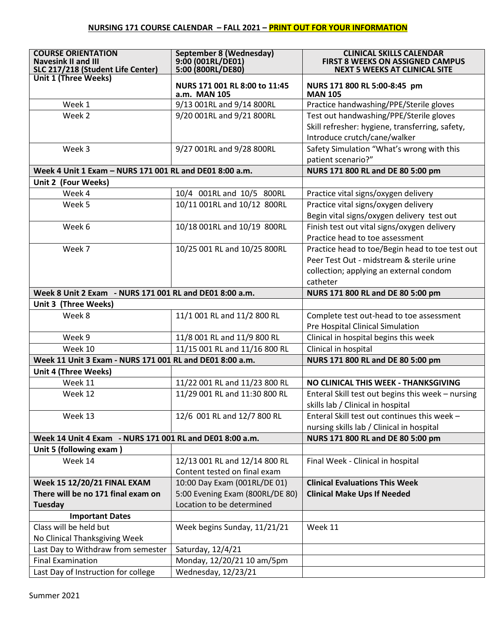| <b>COURSE ORIENTATION</b><br><b>Navesink II and III</b><br>SLC 217/218 (Student Life Center) | <b>September 8 (Wednesday)</b><br>9:00 (001RL/DE01)<br>5:00 (800RL/DE80) | <b>CLINICAL SKILLS CALENDAR</b><br><b>FIRST 8 WEEKS ON ASSIGNED CAMPUS</b><br><b>NEXT 5 WEEKS AT CLINICAL SITE</b> |  |
|----------------------------------------------------------------------------------------------|--------------------------------------------------------------------------|--------------------------------------------------------------------------------------------------------------------|--|
| <b>Unit 1 (Three Weeks)</b>                                                                  | NURS 171 001 RL 8:00 to 11:45<br>a.m. MAN 105                            | NURS 171 800 RL 5:00-8:45 pm<br><b>MAN 105</b>                                                                     |  |
| Week 1                                                                                       | 9/13 001RL and 9/14 800RL                                                | Practice handwashing/PPE/Sterile gloves                                                                            |  |
| Week 2                                                                                       | 9/20 001RL and 9/21 800RL                                                | Test out handwashing/PPE/Sterile gloves                                                                            |  |
|                                                                                              |                                                                          | Skill refresher: hygiene, transferring, safety,                                                                    |  |
|                                                                                              |                                                                          | Introduce crutch/cane/walker                                                                                       |  |
| Week 3                                                                                       | 9/27 001RL and 9/28 800RL                                                | Safety Simulation "What's wrong with this                                                                          |  |
|                                                                                              |                                                                          | patient scenario?"                                                                                                 |  |
| Week 4 Unit 1 Exam - NURS 171 001 RL and DE01 8:00 a.m.                                      |                                                                          | NURS 171 800 RL and DE 80 5:00 pm                                                                                  |  |
| Unit 2 (Four Weeks)                                                                          |                                                                          |                                                                                                                    |  |
| Week 4                                                                                       | 10/4 001RL and 10/5 800RL                                                | Practice vital signs/oxygen delivery                                                                               |  |
| Week 5                                                                                       | 10/11 001RL and 10/12 800RL                                              | Practice vital signs/oxygen delivery                                                                               |  |
|                                                                                              |                                                                          | Begin vital signs/oxygen delivery test out                                                                         |  |
| Week 6                                                                                       | 10/18 001RL and 10/19 800RL                                              | Finish test out vital signs/oxygen delivery                                                                        |  |
|                                                                                              |                                                                          | Practice head to toe assessment                                                                                    |  |
| Week 7                                                                                       | 10/25 001 RL and 10/25 800RL                                             | Practice head to toe/Begin head to toe test out                                                                    |  |
|                                                                                              |                                                                          | Peer Test Out - midstream & sterile urine                                                                          |  |
|                                                                                              |                                                                          | collection; applying an external condom                                                                            |  |
|                                                                                              |                                                                          | catheter                                                                                                           |  |
| Week 8 Unit 2 Exam - NURS 171 001 RL and DE01 8:00 a.m.                                      |                                                                          | NURS 171 800 RL and DE 80 5:00 pm                                                                                  |  |
| Unit 3 (Three Weeks)                                                                         |                                                                          |                                                                                                                    |  |
| Week 8                                                                                       | 11/1 001 RL and 11/2 800 RL                                              | Complete test out-head to toe assessment                                                                           |  |
|                                                                                              |                                                                          | Pre Hospital Clinical Simulation                                                                                   |  |
| Week 9                                                                                       | 11/8 001 RL and 11/9 800 RL                                              | Clinical in hospital begins this week                                                                              |  |
| Week 10                                                                                      | 11/15 001 RL and 11/16 800 RL                                            | Clinical in hospital                                                                                               |  |
| Week 11 Unit 3 Exam - NURS 171 001 RL and DE01 8:00 a.m.                                     |                                                                          | NURS 171 800 RL and DE 80 5:00 pm                                                                                  |  |
| <b>Unit 4 (Three Weeks)</b>                                                                  |                                                                          |                                                                                                                    |  |
| Week 11                                                                                      | 11/22 001 RL and 11/23 800 RL                                            | NO CLINICAL THIS WEEK - THANKSGIVING                                                                               |  |
| Week 12                                                                                      | 11/29 001 RL and 11:30 800 RL                                            | Enteral Skill test out begins this week - nursing                                                                  |  |
|                                                                                              |                                                                          | skills lab / Clinical in hospital                                                                                  |  |
| Week 13                                                                                      | 12/6 001 RL and 12/7 800 RL                                              | Enteral Skill test out continues this week -                                                                       |  |
|                                                                                              |                                                                          | nursing skills lab / Clinical in hospital                                                                          |  |
| Week 14 Unit 4 Exam - NURS 171 001 RL and DE01 8:00 a.m.                                     |                                                                          | NURS 171 800 RL and DE 80 5:00 pm                                                                                  |  |
| Unit 5 (following exam)                                                                      |                                                                          |                                                                                                                    |  |
| Week 14                                                                                      | 12/13 001 RL and 12/14 800 RL                                            | Final Week - Clinical in hospital                                                                                  |  |
|                                                                                              | Content tested on final exam                                             |                                                                                                                    |  |
| <b>Week 15 12/20/21 FINAL EXAM</b>                                                           | 10:00 Day Exam (001RL/DE 01)                                             | <b>Clinical Evaluations This Week</b>                                                                              |  |
| There will be no 171 final exam on                                                           | 5:00 Evening Exam (800RL/DE 80)                                          | <b>Clinical Make Ups If Needed</b>                                                                                 |  |
| Tuesday                                                                                      | Location to be determined                                                |                                                                                                                    |  |
| <b>Important Dates</b>                                                                       |                                                                          |                                                                                                                    |  |
| Class will be held but                                                                       | Week begins Sunday, 11/21/21                                             | Week 11                                                                                                            |  |
| No Clinical Thanksgiving Week                                                                |                                                                          |                                                                                                                    |  |
| Last Day to Withdraw from semester                                                           | Saturday, 12/4/21                                                        |                                                                                                                    |  |
| <b>Final Examination</b>                                                                     | Monday, 12/20/21 10 am/5pm                                               |                                                                                                                    |  |
| Last Day of Instruction for college                                                          | Wednesday, 12/23/21                                                      |                                                                                                                    |  |